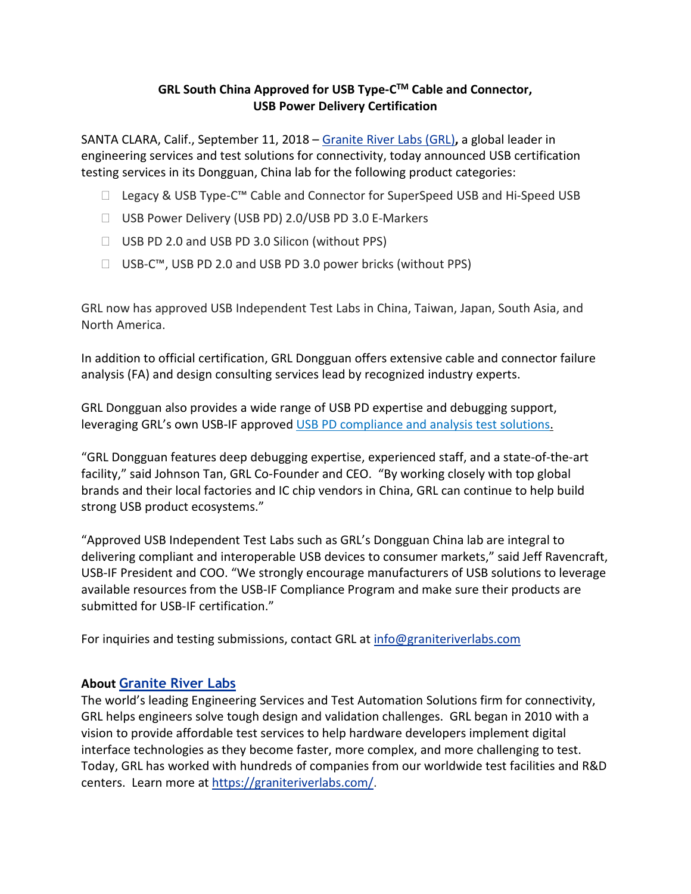## **GRL South China Approved for USB Type-C TM Cable and Connector, USB Power Delivery Certification**

SANTA CLARA, Calif., September 11, 2018 – [Granite](https://graniteriverlabs.com/) River Labs (GRL)**,** a global leader in engineering services and test solutions for connectivity, today announced USB certification testing services in its Dongguan, China lab for the following product categories:

- Legacy & USB Type-C™ Cable and Connector for SuperSpeed USB and Hi-Speed USB
- □ USB Power Delivery (USB PD) 2.0/USB PD 3.0 E-Markers
- □ USB PD 2.0 and USB PD 3.0 Silicon (without PPS)
- □ USB-C™, USB PD 2.0 and USB PD 3.0 power bricks (without PPS)

GRL now has approved USB Independent Test Labs in China, Taiwan, Japan, South Asia, and North America.

In addition to official certification, GRL Dongguan offers extensive cable and connector failure analysis (FA) and design consulting services lead by recognized industry experts.

GRL Dongguan also provides a wide range of USB PD expertise and debugging support, leveraging GRL's own USB-IF approved USB PD [compliance](https://graniteriverlabs.com/usb-pd-c2/) and analysis test solutions.

"GRL Dongguan features deep debugging expertise, experienced staff, and a state-of-the-art facility," said Johnson Tan, GRL Co-Founder and CEO. "By working closely with top global brands and their local factories and IC chip vendors in China, GRL can continue to help build strong USB product ecosystems."

"Approved USB Independent Test Labs such as GRL's Dongguan China lab are integral to delivering compliant and interoperable USB devices to consumer markets," said Jeff Ravencraft, USB-IF President and COO. "We strongly encourage manufacturers of USB solutions to leverage available resources from the USB-IF Compliance Program and make sure their products are submitted for USB-IF certification."

For inquiries and testing submissions, contact GRL at [info@graniteriverlabs.com](mailto:info@graniteriverlabs.com)

## **About [Granite](https://graniteriverlabs.com/) River Labs**

The world's leading Engineering Services and Test Automation Solutions firm for connectivity, GRL helps engineers solve tough design and validation challenges. GRL began in 2010 with a vision to provide affordable test services to help hardware developers implement digital interface technologies as they become faster, more complex, and more challenging to test. Today, GRL has worked with hundreds of companies from our worldwide test facilities and R&D centers. Learn more at [https://graniteriverlabs.com/.](https://graniteriverlabs.com/)